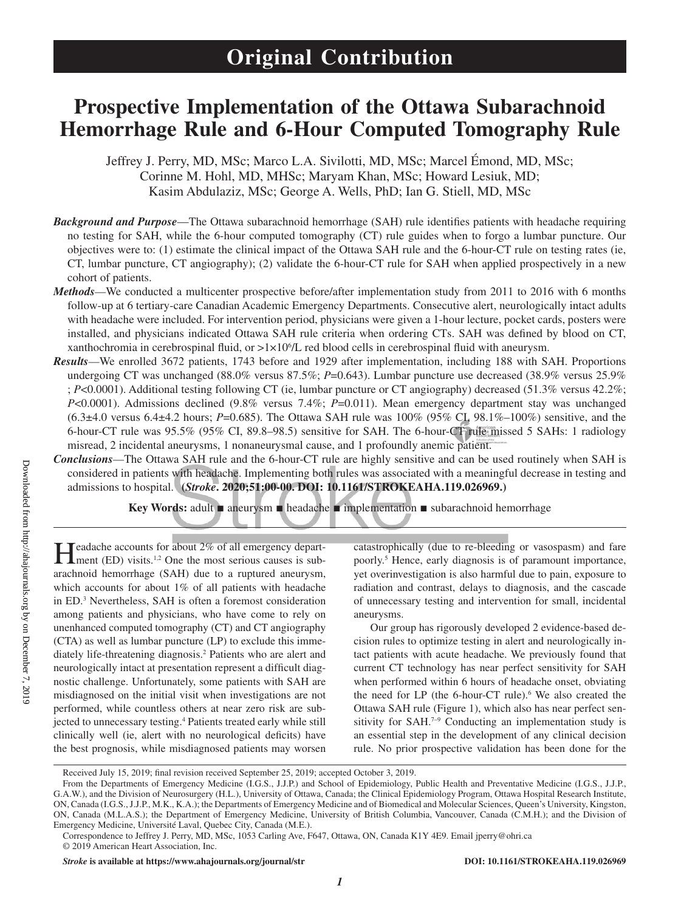# **Prospective Implementation of the Ottawa Subarachnoid Hemorrhage Rule and 6-Hour Computed Tomography Rule**

Jeffrey J. Perry, MD, MSc; Marco L.A. Sivilotti, MD, MSc; Marcel Émond, MD, MSc; Corinne M. Hohl, MD, MHSc; Maryam Khan, MSc; Howard Lesiuk, MD; Kasim Abdulaziz, MSc; George A. Wells, PhD; Ian G. Stiell, MD, MSc

- *Background and Purpose*—The Ottawa subarachnoid hemorrhage (SAH) rule identifies patients with headache requiring no testing for SAH, while the 6-hour computed tomography (CT) rule guides when to forgo a lumbar puncture. Our objectives were to: (1) estimate the clinical impact of the Ottawa SAH rule and the 6-hour-CT rule on testing rates (ie, CT, lumbar puncture, CT angiography); (2) validate the 6-hour-CT rule for SAH when applied prospectively in a new cohort of patients.
- *Methods*—We conducted a multicenter prospective before/after implementation study from 2011 to 2016 with 6 months follow-up at 6 tertiary-care Canadian Academic Emergency Departments. Consecutive alert, neurologically intact adults with headache were included. For intervention period, physicians were given a 1-hour lecture, pocket cards, posters were installed, and physicians indicated Ottawa SAH rule criteria when ordering CTs. SAH was defined by blood on CT, xanthochromia in cerebrospinal fluid, or >1×106 /L red blood cells in cerebrospinal fluid with aneurysm.
- *Results*—We enrolled 3672 patients, 1743 before and 1929 after implementation, including 188 with SAH. Proportions undergoing CT was unchanged (88.0% versus 87.5%; *P*=0.643). Lumbar puncture use decreased (38.9% versus 25.9% ; *P*<0.0001). Additional testing following CT (ie, lumbar puncture or CT angiography) decreased (51.3% versus 42.2%; *P*<0.0001). Admissions declined (9.8% versus 7.4%; *P*=0.011). Mean emergency department stay was unchanged (6.3±4.0 versus 6.4±4.2 hours; *P*=0.685). The Ottawa SAH rule was 100% (95% CI, 98.1%–100%) sensitive, and the 6-hour-CT rule was 95.5% (95% CI, 89.8–98.5) sensitive for SAH. The 6-hour-CT rule missed 5 SAHs: 1 radiology misread, 2 incidental aneurysms, 1 nonaneurysmal cause, and 1 profoundly anemic patient.
- *Conclusions*—The Ottawa SAH rule and the 6-hour-CT rule are highly sensitive and can be used routinely when SAH is considered in patients with headache. Implementing both rules was associated with a meaningful decrease in testing and admissions to hospital. **(***Stroke***. 2020;51:00-00. DOI: 10.1161/STROKEAHA.119.026969.)**

**Key Words:** adult ■ aneurysm ■ headache ■ implementation ■ subarachnoid hemorrhage

Headache accounts for about 2% of all emergency depart-<br>ment (ED) visits.<sup>1,2</sup> One the most serious causes is subarachnoid hemorrhage (SAH) due to a ruptured aneurysm, which accounts for about 1% of all patients with headache in ED.3 Nevertheless, SAH is often a foremost consideration among patients and physicians, who have come to rely on unenhanced computed tomography (CT) and CT angiography (CTA) as well as lumbar puncture (LP) to exclude this immediately life-threatening diagnosis.2 Patients who are alert and neurologically intact at presentation represent a difficult diagnostic challenge. Unfortunately, some patients with SAH are misdiagnosed on the initial visit when investigations are not performed, while countless others at near zero risk are subjected to unnecessary testing.<sup>4</sup> Patients treated early while still clinically well (ie, alert with no neurological deficits) have the best prognosis, while misdiagnosed patients may worsen

catastrophically (due to re-bleeding or vasospasm) and fare poorly.5 Hence, early diagnosis is of paramount importance, yet overinvestigation is also harmful due to pain, exposure to radiation and contrast, delays to diagnosis, and the cascade of unnecessary testing and intervention for small, incidental aneurysms.

Our group has rigorously developed 2 evidence-based decision rules to optimize testing in alert and neurologically intact patients with acute headache. We previously found that current CT technology has near perfect sensitivity for SAH when performed within 6 hours of headache onset, obviating the need for LP (the 6-hour-CT rule).<sup>6</sup> We also created the Ottawa SAH rule (Figure 1), which also has near perfect sensitivity for SAH.<sup>7-9</sup> Conducting an implementation study is an essential step in the development of any clinical decision rule. No prior prospective validation has been done for the

Received July 15, 2019; final revision received September 25, 2019; accepted October 3, 2019.

From the Departments of Emergency Medicine (I.G.S., J.J.P.) and School of Epidemiology, Public Health and Preventative Medicine (I.G.S., J.J.P., G.A.W.), and the Division of Neurosurgery (H.L.), University of Ottawa, Canada; the Clinical Epidemiology Program, Ottawa Hospital Research Institute, ON, Canada (I.G.S., J.J.P., M.K., K.A.); the Departments of Emergency Medicine and of Biomedical and Molecular Sciences, Queen's University, Kingston, ON, Canada (M.L.A.S.); the Department of Emergency Medicine, University of British Columbia, Vancouver, Canada (C.M.H.); and the Division of Emergency Medicine, Université Laval, Quebec City, Canada (M.E.).

Correspondence to Jeffrey J. Perry, MD, MSc, 1053 Carling Ave, F647, Ottawa, ON, Canada K1Y 4E9. Email [jperry@ohri.ca](mailto:jperry@ohri.ca) © 2019 American Heart Association, Inc.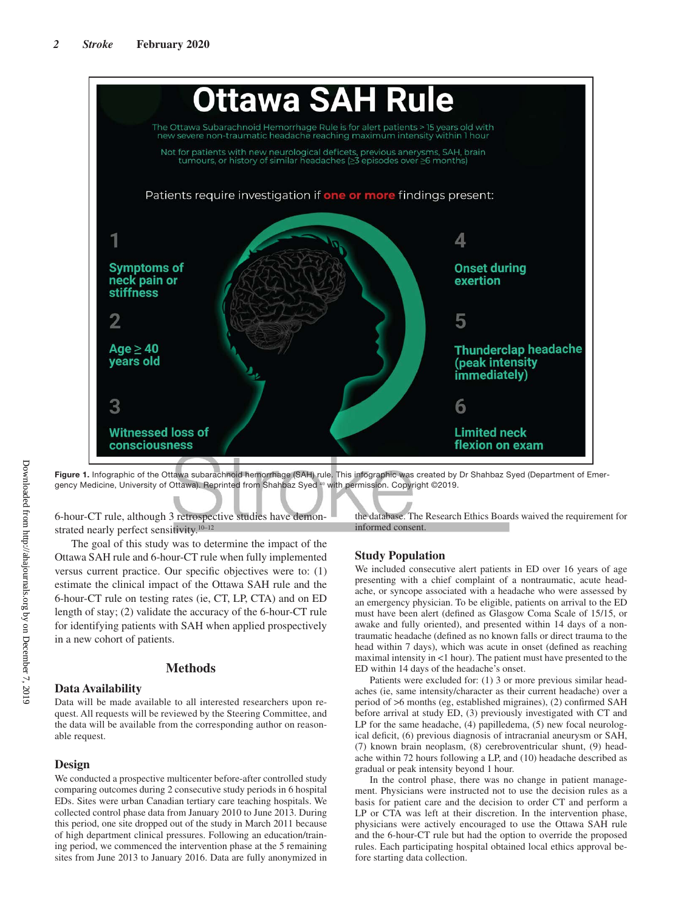

**Figure 1.** Infographic of the Ottawa subarachnoid hemorrhage (SAH) rule. This infographic was created by Dr Shahbaz Syed (Department of Emergency Medicine, University of Ottawa). Reprinted from Shahbaz Syed <sup>40</sup> with permission. Copyright ©2019.

6-hour-CT rule, although 3 retrospective studies have demonstrated nearly perfect sensitivity.<sup>10–12</sup>

The goal of this study was to determine the impact of the Ottawa SAH rule and 6-hour-CT rule when fully implemented versus current practice. Our specific objectives were to: (1) estimate the clinical impact of the Ottawa SAH rule and the 6-hour-CT rule on testing rates (ie, CT, LP, CTA) and on ED length of stay; (2) validate the accuracy of the 6-hour-CT rule for identifying patients with SAH when applied prospectively in a new cohort of patients.

# **Methods**

# **Data Availability**

Data will be made available to all interested researchers upon request. All requests will be reviewed by the Steering Committee, and the data will be available from the corresponding author on reasonable request.

# **Design**

We conducted a prospective multicenter before-after controlled study comparing outcomes during 2 consecutive study periods in 6 hospital EDs. Sites were urban Canadian tertiary care teaching hospitals. We collected control phase data from January 2010 to June 2013. During this period, one site dropped out of the study in March 2011 because of high department clinical pressures. Following an education/training period, we commenced the intervention phase at the 5 remaining sites from June 2013 to January 2016. Data are fully anonymized in the database. The Research Ethics Boards waived the requirement for informed consent.

# **Study Population**

We included consecutive alert patients in ED over 16 years of age presenting with a chief complaint of a nontraumatic, acute headache, or syncope associated with a headache who were assessed by an emergency physician. To be eligible, patients on arrival to the ED must have been alert (defined as Glasgow Coma Scale of 15/15, or awake and fully oriented), and presented within 14 days of a nontraumatic headache (defined as no known falls or direct trauma to the head within 7 days), which was acute in onset (defined as reaching maximal intensity in <1 hour). The patient must have presented to the ED within 14 days of the headache's onset.

Patients were excluded for: (1) 3 or more previous similar headaches (ie, same intensity/character as their current headache) over a period of >6 months (eg, established migraines), (2) confirmed SAH before arrival at study ED, (3) previously investigated with CT and LP for the same headache, (4) papilledema, (5) new focal neurological deficit, (6) previous diagnosis of intracranial aneurysm or SAH, (7) known brain neoplasm, (8) cerebroventricular shunt, (9) headache within 72 hours following a LP, and (10) headache described as gradual or peak intensity beyond 1 hour.

In the control phase, there was no change in patient management. Physicians were instructed not to use the decision rules as a basis for patient care and the decision to order CT and perform a LP or CTA was left at their discretion. In the intervention phase, physicians were actively encouraged to use the Ottawa SAH rule and the 6-hour-CT rule but had the option to override the proposed rules. Each participating hospital obtained local ethics approval before starting data collection.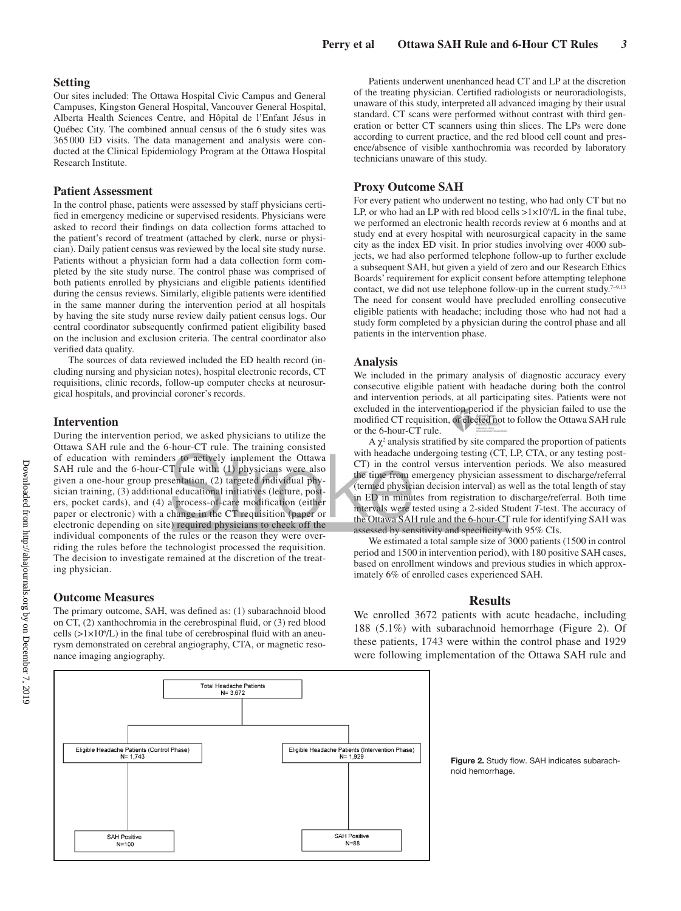## **Setting**

Our sites included: The Ottawa Hospital Civic Campus and General Campuses, Kingston General Hospital, Vancouver General Hospital, Alberta Health Sciences Centre, and Hôpital de l'Enfant Jésus in Québec City. The combined annual census of the 6 study sites was 365000 ED visits. The data management and analysis were conducted at the Clinical Epidemiology Program at the Ottawa Hospital Research Institute.

# **Patient Assessment**

In the control phase, patients were assessed by staff physicians certified in emergency medicine or supervised residents. Physicians were asked to record their findings on data collection forms attached to the patient's record of treatment (attached by clerk, nurse or physician). Daily patient census was reviewed by the local site study nurse. Patients without a physician form had a data collection form completed by the site study nurse. The control phase was comprised of both patients enrolled by physicians and eligible patients identified during the census reviews. Similarly, eligible patients were identified in the same manner during the intervention period at all hospitals by having the site study nurse review daily patient census logs. Our central coordinator subsequently confirmed patient eligibility based on the inclusion and exclusion criteria. The central coordinator also verified data quality.

The sources of data reviewed included the ED health record (including nursing and physician notes), hospital electronic records, CT requisitions, clinic records, follow-up computer checks at neurosurgical hospitals, and provincial coroner's records.

## **Intervention**

During the intervention period, we asked physicians to utilize the Ottawa SAH rule and the 6-hour-CT rule. The training consisted of education with reminders to actively implement the Ottawa SAH rule and the 6-hour-CT rule with: (1) physicians were also given a one-hour group presentation, (2) targeted individual physician training, (3) additional educational initiatives (lecture, posters, pocket cards), and (4) a process-of-care modification (either paper or electronic) with a change in the CT requisition (paper or electronic depending on site) required physicians to check off the individual components of the rules or the reason they were overriding the rules before the technologist processed the requisition. The decision to investigate remained at the discretion of the treating physician.

# **Outcome Measures**

The primary outcome, SAH, was defined as: (1) subarachnoid blood on CT, (2) xanthochromia in the cerebrospinal fluid, or (3) red blood cells  $(>\!\!1 \times 10^6/L)$  in the final tube of cerebrospinal fluid with an aneurysm demonstrated on cerebral angiography, CTA, or magnetic resonance imaging angiography.

Patients underwent unenhanced head CT and LP at the discretion of the treating physician. Certified radiologists or neuroradiologists, unaware of this study, interpreted all advanced imaging by their usual standard. CT scans were performed without contrast with third generation or better CT scanners using thin slices. The LPs were done according to current practice, and the red blood cell count and presence/absence of visible xanthochromia was recorded by laboratory technicians unaware of this study.

#### **Proxy Outcome SAH**

For every patient who underwent no testing, who had only CT but no LP, or who had an LP with red blood cells  $>1 \times 10^{6}/L$  in the final tube, we performed an electronic health records review at 6 months and at study end at every hospital with neurosurgical capacity in the same city as the index ED visit. In prior studies involving over 4000 subjects, we had also performed telephone follow-up to further exclude a subsequent SAH, but given a yield of zero and our Research Ethics Boards' requirement for explicit consent before attempting telephone contact, we did not use telephone follow-up in the current study.<sup>7-9,13</sup> The need for consent would have precluded enrolling consecutive eligible patients with headache; including those who had not had a study form completed by a physician during the control phase and all patients in the intervention phase.

#### **Analysis**

We included in the primary analysis of diagnostic accuracy every consecutive eligible patient with headache during both the control and intervention periods, at all participating sites. Patients were not excluded in the intervention period if the physician failed to use the modified CT requisition, or elected not to follow the Ottawa SAH rule or the 6-hour-CT rule.

 $A \chi^2$  analysis stratified by site compared the proportion of patients with headache undergoing testing (CT, LP, CTA, or any testing post-CT) in the control versus intervention periods. We also measured the time from emergency physician assessment to discharge/referral (termed physician decision interval) as well as the total length of stay in ED in minutes from registration to discharge/referral. Both time intervals were tested using a 2-sided Student *T*-test. The accuracy of the Ottawa SAH rule and the 6-hour-CT rule for identifying SAH was assessed by sensitivity and specificity with 95% CIs.

We estimated a total sample size of 3000 patients (1500 in control period and 1500 in intervention period), with 180 positive SAH cases, based on enrollment windows and previous studies in which approximately 6% of enrolled cases experienced SAH.

#### **Results**

We enrolled 3672 patients with acute headache, including 188 (5.1%) with subarachnoid hemorrhage (Figure 2). Of these patients, 1743 were within the control phase and 1929 were following implementation of the Ottawa SAH rule and



**Figure 2.** Study flow. SAH indicates subarachnoid hemorrhage.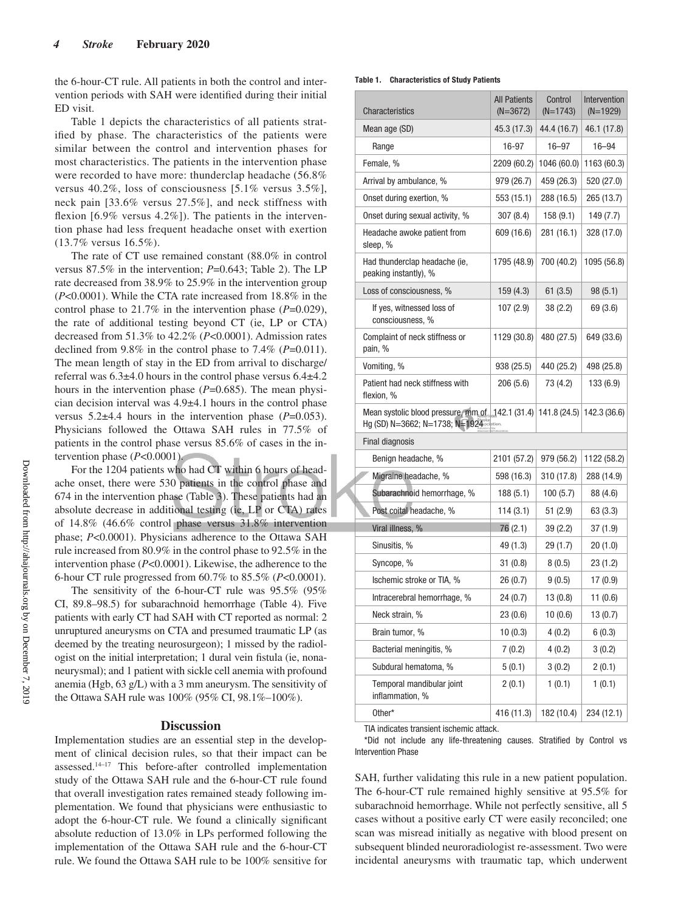the 6-hour-CT rule. All patients in both the control and intervention periods with SAH were identified during their initial ED visit.

Table 1 depicts the characteristics of all patients stratified by phase. The characteristics of the patients were similar between the control and intervention phases for most characteristics. The patients in the intervention phase were recorded to have more: thunderclap headache (56.8% versus 40.2%, loss of consciousness [5.1% versus 3.5%], neck pain [33.6% versus 27.5%], and neck stiffness with flexion [6.9% versus 4.2%]). The patients in the intervention phase had less frequent headache onset with exertion (13.7% versus 16.5%).

The rate of CT use remained constant (88.0% in control versus 87.5% in the intervention; *P*=0.643; Table 2). The LP rate decreased from 38.9% to 25.9% in the intervention group (*P*<0.0001). While the CTA rate increased from 18.8% in the control phase to 21.7% in the intervention phase (*P*=0.029), the rate of additional testing beyond CT (ie, LP or CTA) decreased from 51.3% to 42.2% (*P*<0.0001). Admission rates declined from 9.8% in the control phase to 7.4% (*P*=0.011). The mean length of stay in the ED from arrival to discharge/ referral was 6.3±4.0 hours in the control phase versus 6.4±4.2 hours in the intervention phase (*P*=0.685). The mean physician decision interval was 4.9±4.1 hours in the control phase versus 5.2±4.4 hours in the intervention phase (*P*=0.053). Physicians followed the Ottawa SAH rules in 77.5% of patients in the control phase versus 85.6% of cases in the intervention phase (*P*<0.0001).

For the 1204 patients who had CT within 6 hours of headache onset, there were 530 patients in the control phase and 674 in the intervention phase (Table 3). These patients had an absolute decrease in additional testing (ie, LP or CTA) rates of 14.8% (46.6% control phase versus 31.8% intervention phase; *P*<0.0001). Physicians adherence to the Ottawa SAH rule increased from 80.9% in the control phase to 92.5% in the intervention phase (*P*<0.0001). Likewise, the adherence to the 6-hour CT rule progressed from 60.7% to 85.5% (*P*<0.0001).

The sensitivity of the 6-hour-CT rule was 95.5% (95% CI, 89.8–98.5) for subarachnoid hemorrhage (Table 4). Five patients with early CT had SAH with CT reported as normal: 2 unruptured aneurysms on CTA and presumed traumatic LP (as deemed by the treating neurosurgeon); 1 missed by the radiologist on the initial interpretation; 1 dural vein fistula (ie, nonaneurysmal); and 1 patient with sickle cell anemia with profound anemia (Hgb, 63 g/L) with a 3 mm aneurysm. The sensitivity of the Ottawa SAH rule was 100% (95% CI, 98.1%–100%).

#### **Discussion**

Implementation studies are an essential step in the development of clinical decision rules, so that their impact can be assessed.14–17 This before-after controlled implementation study of the Ottawa SAH rule and the 6-hour-CT rule found that overall investigation rates remained steady following implementation. We found that physicians were enthusiastic to adopt the 6-hour-CT rule. We found a clinically significant absolute reduction of 13.0% in LPs performed following the implementation of the Ottawa SAH rule and the 6-hour-CT rule. We found the Ottawa SAH rule to be 100% sensitive for

| Table 1.<br><b>Characteristics of Study Patients</b> |  |  |  |
|------------------------------------------------------|--|--|--|
|------------------------------------------------------|--|--|--|

| <b>Characteristics</b>                                                                                                                        | <b>All Patients</b><br>$(N=3672)$ | Control<br>$(N=1743)$ | Intervention<br>$(N=1929)$ |
|-----------------------------------------------------------------------------------------------------------------------------------------------|-----------------------------------|-----------------------|----------------------------|
| Mean age (SD)                                                                                                                                 | 45.3 (17.3)                       | 44.4 (16.7)           | 46.1 (17.8)                |
| Range                                                                                                                                         | 16-97                             | $16 - 97$             | 16-94                      |
| Female, %                                                                                                                                     | 2209 (60.2)                       | 1046 (60.0)           | 1163 (60.3)                |
| Arrival by ambulance, %                                                                                                                       | 979 (26.7)                        | 459 (26.3)            | 520 (27.0)                 |
| Onset during exertion, %                                                                                                                      | 553 (15.1)                        | 288 (16.5)            | 265 (13.7)                 |
| Onset during sexual activity, %                                                                                                               | 307(8.4)                          | 158 (9.1)             | 149 (7.7)                  |
| Headache awoke patient from<br>sleep, %                                                                                                       | 609 (16.6)                        | 281 (16.1)            | 328 (17.0)                 |
| Had thunderclap headache (ie,<br>peaking instantly), %                                                                                        | 1795 (48.9)                       | 700 (40.2)            | 1095 (56.8)                |
| Loss of consciousness, %                                                                                                                      | 159(4.3)                          | 61(3.5)               | 98(5.1)                    |
| If yes, witnessed loss of<br>consciousness, %                                                                                                 | 107 (2.9)                         | 38 (2.2)              | 69 (3.6)                   |
| Complaint of neck stiffness or<br>pain, %                                                                                                     | 1129 (30.8)                       | 480 (27.5)            | 649 (33.6)                 |
| Vomiting, %                                                                                                                                   | 938 (25.5)                        | 440 (25.2)            | 498 (25.8)                 |
| Patient had neck stiffness with<br>flexion, %                                                                                                 | 206(5.6)                          | 73 (4.2)              | 133 (6.9)                  |
| Mean systolic blood pressure, $mm_{,0}f_{\text{right}}$ 142.1 (31.4) 141.8 (24.5) 142.3 (36.6)<br>Hg (SD) N=3662; N=1738; N=1924 <sup>®</sup> |                                   |                       |                            |
| Final diagnosis                                                                                                                               |                                   |                       |                            |
| Benign headache, %                                                                                                                            | 2101 (57.2)                       | 979 (56.2)            | 1122 (58.2)                |
| Migraine headache, %                                                                                                                          | 598 (16.3)                        | 310 (17.8)            | 288 (14.9)                 |
| Subarachnoid hemorrhage, %                                                                                                                    | 188 (5.1)                         | 100(5.7)              | 88 (4.6)                   |
| Post coital headache, %                                                                                                                       | 114 (3.1)                         | 51 (2.9)              | 63 (3.3)                   |
| Viral illness, %                                                                                                                              | 76(2.1)                           | 39 (2.2)              | 37 (1.9)                   |
| Sinusitis, %                                                                                                                                  | 49 (1.3)                          | 29 (1.7)              | 20(1.0)                    |
| Syncope, %                                                                                                                                    | 31(0.8)                           | 8(0.5)                | 23 (1.2)                   |
| Ischemic stroke or TIA, %                                                                                                                     | 26 (0.7)                          | 9(0.5)                | 17 (0.9)                   |
| Intracerebral hemorrhage, %                                                                                                                   | 24 (0.7)                          | 13 (0.8)              | 11 (0.6)                   |
| Neck strain, %                                                                                                                                | 23(0.6)                           | 10 (0.6)              | 13 (0.7)                   |
| Brain tumor, %                                                                                                                                | 10(0.3)                           | 4(0.2)                | 6(0.3)                     |
| Bacterial meningitis, %                                                                                                                       | 7(0.2)                            | 4(0.2)                | 3(0.2)                     |
| Subdural hematoma, %                                                                                                                          | 5(0.1)                            | 3(0.2)                | 2(0.1)                     |
| Temporal mandibular joint<br>inflammation, %                                                                                                  | 2(0.1)                            | 1(0.1)                | 1(0.1)                     |
| Other*                                                                                                                                        | 416 (11.3)                        | 182 (10.4)            | 234 (12.1)                 |
|                                                                                                                                               |                                   |                       |                            |

TIA indicates transient ischemic attack.

\*Did not include any life-threatening causes. Stratified by Control vs Intervention Phase

SAH, further validating this rule in a new patient population. The 6-hour-CT rule remained highly sensitive at 95.5% for subarachnoid hemorrhage. While not perfectly sensitive, all 5 cases without a positive early CT were easily reconciled; one scan was misread initially as negative with blood present on subsequent blinded neuroradiologist re-assessment. Two were incidental aneurysms with traumatic tap, which underwent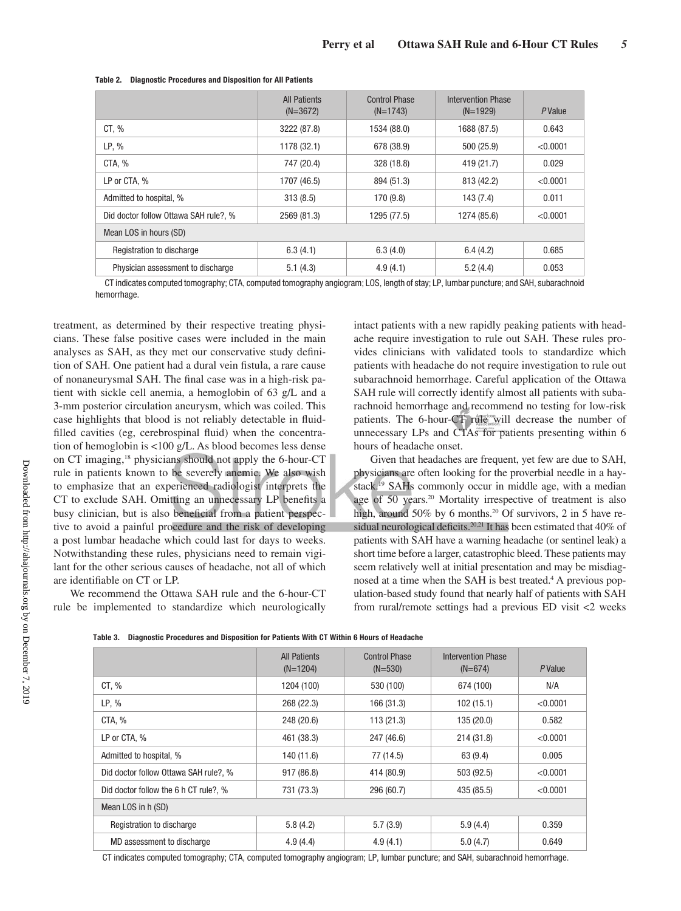|                                       | <b>All Patients</b><br>$(N=3672)$ | <b>Control Phase</b><br>$(N=1743)$ | Intervention Phase<br>$(N=1929)$ | PValue   |
|---------------------------------------|-----------------------------------|------------------------------------|----------------------------------|----------|
| CT, %                                 | 3222 (87.8)                       | 1534 (88.0)                        | 1688 (87.5)                      | 0.643    |
| $LP, \%$                              | 1178 (32.1)                       | 678 (38.9)                         | 500 (25.9)                       | < 0.0001 |
| CTA, %                                | 747 (20.4)                        | 328 (18.8)                         | 419 (21.7)                       | 0.029    |
| LP or CTA, %                          | 1707 (46.5)                       | 894 (51.3)                         | 813 (42.2)                       | < 0.0001 |
| Admitted to hospital, %               | 313(8.5)                          | 170 (9.8)                          | 143 (7.4)                        | 0.011    |
| Did doctor follow Ottawa SAH rule?, % | 2569 (81.3)                       | 1295 (77.5)                        | 1274 (85.6)                      | < 0.0001 |
| Mean LOS in hours (SD)                |                                   |                                    |                                  |          |
| Registration to discharge             | 6.3(4.1)                          | 6.3(4.0)                           | 6.4(4.2)                         | 0.685    |
| Physician assessment to discharge     | 5.1(4.3)                          | 4.9(4.1)                           | 5.2(4.4)                         | 0.053    |

#### **Table 2. Diagnostic Procedures and Disposition for All Patients**

CT indicates computed tomography; CTA, computed tomography angiogram; LOS, length of stay; LP, lumbar puncture; and SAH, subarachnoid hemorrhage.

treatment, as determined by their respective treating physicians. These false positive cases were included in the main analyses as SAH, as they met our conservative study definition of SAH. One patient had a dural vein fistula, a rare cause of nonaneurysmal SAH. The final case was in a high-risk patient with sickle cell anemia, a hemoglobin of 63 g/L and a 3-mm posterior circulation aneurysm, which was coiled. This case highlights that blood is not reliably detectable in fluidfilled cavities (eg, cerebrospinal fluid) when the concentration of hemoglobin is <100 g/L. As blood becomes less dense on CT imaging,18 physicians should not apply the 6-hour-CT rule in patients known to be severely anemic. We also wish to emphasize that an experienced radiologist interprets the CT to exclude SAH. Omitting an unnecessary LP benefits a busy clinician, but is also beneficial from a patient perspective to avoid a painful procedure and the risk of developing a post lumbar headache which could last for days to weeks. Notwithstanding these rules, physicians need to remain vigilant for the other serious causes of headache, not all of which are identifiable on CT or LP.

We recommend the Ottawa SAH rule and the 6-hour-CT rule be implemented to standardize which neurologically intact patients with a new rapidly peaking patients with headache require investigation to rule out SAH. These rules provides clinicians with validated tools to standardize which patients with headache do not require investigation to rule out subarachnoid hemorrhage. Careful application of the Ottawa SAH rule will correctly identify almost all patients with subarachnoid hemorrhage and recommend no testing for low-risk patients. The 6-hour-CT rule will decrease the number of unnecessary LPs and CTAs for patients presenting within 6 hours of headache onset.

Given that headaches are frequent, yet few are due to SAH, physicians are often looking for the proverbial needle in a haystack.19 SAHs commonly occur in middle age, with a median age of 50 years.<sup>20</sup> Mortality irrespective of treatment is also high, around 50% by 6 months.<sup>20</sup> Of survivors, 2 in 5 have residual neurological deficits.<sup>20,21</sup> It has been estimated that 40% of patients with SAH have a warning headache (or sentinel leak) a short time before a larger, catastrophic bleed. These patients may seem relatively well at initial presentation and may be misdiagnosed at a time when the SAH is best treated.<sup>4</sup> A previous population-based study found that nearly half of patients with SAH from rural/remote settings had a previous ED visit <2 weeks

|  | Table 3.    Diagnostic Procedures and Disposition for Patients With CT Within 6 Hours of Headache |  |  |  |  |
|--|---------------------------------------------------------------------------------------------------|--|--|--|--|
|--|---------------------------------------------------------------------------------------------------|--|--|--|--|

|                                       | <b>All Patients</b><br>$(N=1204)$ | <b>Control Phase</b><br>$(N=530)$ | Intervention Phase<br>$(N=674)$ | PValue   |
|---------------------------------------|-----------------------------------|-----------------------------------|---------------------------------|----------|
| CT, %                                 | 1204 (100)                        | 530 (100)                         | 674 (100)                       | N/A      |
| LP, %                                 | 268 (22.3)                        | 166 (31.3)                        | 102(15.1)                       | < 0.0001 |
| CTA, %                                | 248 (20.6)                        | 113(21.3)                         | 135 (20.0)                      | 0.582    |
| LP or CTA, %                          | 461 (38.3)                        | 247 (46.6)                        | 214 (31.8)                      | < 0.0001 |
| Admitted to hospital, %               | 140 (11.6)                        | 77 (14.5)                         | 63 (9.4)                        | 0.005    |
| Did doctor follow Ottawa SAH rule?, % | 917 (86.8)                        | 414 (80.9)                        | 503 (92.5)                      | < 0.0001 |
| Did doctor follow the 6 h CT rule?, % | 731 (73.3)                        | 296 (60.7)                        | 435 (85.5)                      | < 0.0001 |
| Mean LOS in h (SD)                    |                                   |                                   |                                 |          |
| Registration to discharge             | 5.8(4.2)                          | 5.7(3.9)                          | 5.9(4.4)                        | 0.359    |
| MD assessment to discharge            | 4.9(4.4)                          | 4.9(4.1)                          | 5.0(4.7)                        | 0.649    |

CT indicates computed tomography; CTA, computed tomography angiogram; LP, lumbar puncture; and SAH, subarachnoid hemorrhage.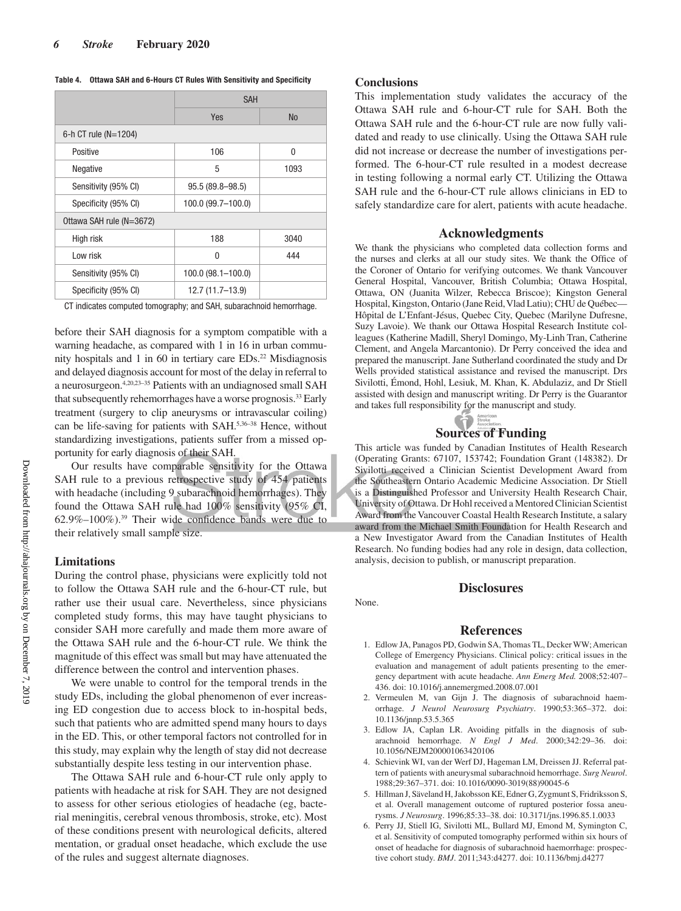#### **Table 4. Ottawa SAH and 6-Hours CT Rules With Sensitivity and Specificity**

|                          | <b>SAH</b>           |           |  |  |  |
|--------------------------|----------------------|-----------|--|--|--|
|                          | Yes                  | <b>No</b> |  |  |  |
| 6-h CT rule ( $N=1204$ ) |                      |           |  |  |  |
| Positive                 | 106                  | $\Omega$  |  |  |  |
| Negative                 | 5                    | 1093      |  |  |  |
| Sensitivity (95% CI)     | 95.5 (89.8-98.5)     |           |  |  |  |
| Specificity (95% CI)     | 100.0 (99.7-100.0)   |           |  |  |  |
| Ottawa SAH rule (N=3672) |                      |           |  |  |  |
| High risk                | 188                  | 3040      |  |  |  |
| Low risk                 | 0                    | 444       |  |  |  |
| Sensitivity (95% CI)     | $100.0$ (98.1-100.0) |           |  |  |  |
| Specificity (95% CI)     | 12.7 (11.7-13.9)     |           |  |  |  |

CT indicates computed tomography; and SAH, subarachnoid hemorrhage.

before their SAH diagnosis for a symptom compatible with a warning headache, as compared with 1 in 16 in urban community hospitals and 1 in 60 in tertiary care  $EDs<sup>22</sup>$  Misdiagnosis and delayed diagnosis account for most of the delay in referral to a neurosurgeon.4,20,23–35 Patients with an undiagnosed small SAH that subsequently rehemorrhages have a worse prognosis.<sup>33</sup> Early treatment (surgery to clip aneurysms or intravascular coiling) can be life-saving for patients with SAH.5,36–38 Hence, without standardizing investigations, patients suffer from a missed opportunity for early diagnosis of their SAH.

Our results have comparable sensitivity for the Ottawa SAH rule to a previous retrospective study of 454 patients with headache (including 9 subarachnoid hemorrhages). They found the Ottawa SAH rule had 100% sensitivity (95% CI,  $62.9\% - 100\%$ ).<sup>39</sup> Their wide confidence bands were due to their relatively small sample size.

## **Limitations**

During the control phase, physicians were explicitly told not to follow the Ottawa SAH rule and the 6-hour-CT rule, but rather use their usual care. Nevertheless, since physicians completed study forms, this may have taught physicians to consider SAH more carefully and made them more aware of the Ottawa SAH rule and the 6-hour-CT rule. We think the magnitude of this effect was small but may have attenuated the difference between the control and intervention phases.

We were unable to control for the temporal trends in the study EDs, including the global phenomenon of ever increasing ED congestion due to access block to in-hospital beds, such that patients who are admitted spend many hours to days in the ED. This, or other temporal factors not controlled for in this study, may explain why the length of stay did not decrease substantially despite less testing in our intervention phase.

The Ottawa SAH rule and 6-hour-CT rule only apply to patients with headache at risk for SAH. They are not designed to assess for other serious etiologies of headache (eg, bacterial meningitis, cerebral venous thrombosis, stroke, etc). Most of these conditions present with neurological deficits, altered mentation, or gradual onset headache, which exclude the use of the rules and suggest alternate diagnoses.

# **Conclusions**

None.

This implementation study validates the accuracy of the Ottawa SAH rule and 6-hour-CT rule for SAH. Both the Ottawa SAH rule and the 6-hour-CT rule are now fully validated and ready to use clinically. Using the Ottawa SAH rule did not increase or decrease the number of investigations performed. The 6-hour-CT rule resulted in a modest decrease in testing following a normal early CT. Utilizing the Ottawa SAH rule and the 6-hour-CT rule allows clinicians in ED to safely standardize care for alert, patients with acute headache.

# **Acknowledgments**

We thank the physicians who completed data collection forms and the nurses and clerks at all our study sites. We thank the Office of the Coroner of Ontario for verifying outcomes. We thank Vancouver General Hospital, Vancouver, British Columbia; Ottawa Hospital, Ottawa, ON (Juanita Wilzer, Rebecca Briscoe); Kingston General Hospital, Kingston, Ontario (Jane Reid, Vlad Latiu); CHU de Québec— Hôpital de L'Enfant-Jésus, Quebec City, Quebec (Marilyne Dufresne, Suzy Lavoie). We thank our Ottawa Hospital Research Institute colleagues (Katherine Madill, Sheryl Domingo, My-Linh Tran, Catherine Clement, and Angela Marcantonio). Dr Perry conceived the idea and prepared the manuscript. Jane Sutherland coordinated the study and Dr Wells provided statistical assistance and revised the manuscript. Drs Sivilotti, Émond, Hohl, Lesiuk, M. Khan, K. Abdulaziz, and Dr Stiell assisted with design and manuscript writing. Dr Perry is the Guarantor and takes full responsibility for the manuscript and study.



This article was funded by Canadian Institutes of Health Research (Operating Grants: 67107, 153742; Foundation Grant (148382). Dr Sivilotti received a Clinician Scientist Development Award from the Southeastern Ontario Academic Medicine Association. Dr Stiell is a Distinguished Professor and University Health Research Chair, University of Ottawa. Dr Hohl received a Mentored Clinician Scientist Award from the Vancouver Coastal Health Research Institute, a salary award from the Michael Smith Foundation for Health Research and a New Investigator Award from the Canadian Institutes of Health Research. No funding bodies had any role in design, data collection, analysis, decision to publish, or manuscript preparation.

# **Disclosures**

#### **References**

- 1. Edlow JA, Panagos PD, Godwin SA, Thomas TL, Decker WW; American College of Emergency Physicians. Clinical policy: critical issues in the evaluation and management of adult patients presenting to the emergency department with acute headache. *Ann Emerg Med.* 2008;52:407– 436. doi: 10.1016/j.annemergmed.2008.07.001
- 2. Vermeulen M, van Gijn J. The diagnosis of subarachnoid haemorrhage. *J Neurol Neurosurg Psychiatry*. 1990;53:365–372. doi: 10.1136/jnnp.53.5.365
- 3. Edlow JA, Caplan LR. Avoiding pitfalls in the diagnosis of subarachnoid hemorrhage. *N Engl J Med*. 2000;342:29–36. doi: 10.1056/NEJM200001063420106
- 4. Schievink WI, van der Werf DJ, Hageman LM, Dreissen JJ. Referral pattern of patients with aneurysmal subarachnoid hemorrhage. *Surg Neurol*. 1988;29:367–371. doi: 10.1016/0090-3019(88)90045-6
- 5. Hillman J, Säveland H, Jakobsson KE, Edner G, Zygmunt S, Fridriksson S, et al. Overall management outcome of ruptured posterior fossa aneurysms. *J Neurosurg*. 1996;85:33–38. doi: 10.3171/jns.1996.85.1.0033
- 6. Perry JJ, Stiell IG, Sivilotti ML, Bullard MJ, Emond M, Symington C, et al. Sensitivity of computed tomography performed within six hours of onset of headache for diagnosis of subarachnoid haemorrhage: prospective cohort study. *BMJ*. 2011;343:d4277. doi: 10.1136/bmj.d4277